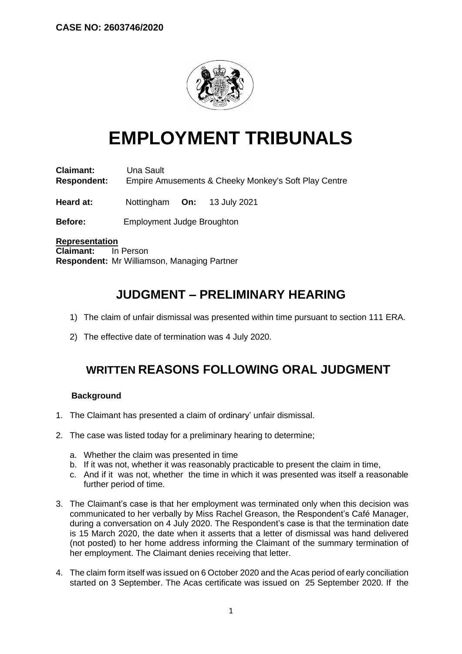

# **EMPLOYMENT TRIBUNALS**

**Claimant:** Una Sault **Respondent:** Empire Amusements & Cheeky Monkey's Soft Play Centre

**Heard at:** Nottingham **On:** 13 July 2021

**Before:** Employment Judge Broughton

**Representation Claimant:** In Person **Respondent:** Mr Williamson, Managing Partner

## **JUDGMENT – PRELIMINARY HEARING**

- 1) The claim of unfair dismissal was presented within time pursuant to section 111 ERA.
- 2) The effective date of termination was 4 July 2020.

### **WRITTEN REASONS FOLLOWING ORAL JUDGMENT**

#### **Background**

- 1. The Claimant has presented a claim of ordinary' unfair dismissal.
- 2. The case was listed today for a preliminary hearing to determine;
	- a. Whether the claim was presented in time
	- b. If it was not, whether it was reasonably practicable to present the claim in time,
	- c. And if it was not, whether the time in which it was presented was itself a reasonable further period of time.
- 3. The Claimant's case is that her employment was terminated only when this decision was communicated to her verbally by Miss Rachel Greason, the Respondent's Café Manager, during a conversation on 4 July 2020. The Respondent's case is that the termination date is 15 March 2020, the date when it asserts that a letter of dismissal was hand delivered (not posted) to her home address informing the Claimant of the summary termination of her employment. The Claimant denies receiving that letter.
- 4. The claim form itself was issued on 6 October 2020 and the Acas period of early conciliation started on 3 September. The Acas certificate was issued on 25 September 2020. If the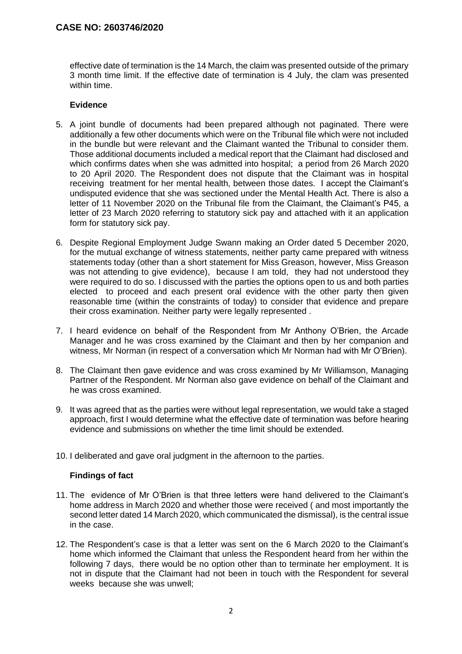effective date of termination is the 14 March, the claim was presented outside of the primary 3 month time limit. If the effective date of termination is 4 July, the clam was presented within time.

#### **Evidence**

- 5. A joint bundle of documents had been prepared although not paginated. There were additionally a few other documents which were on the Tribunal file which were not included in the bundle but were relevant and the Claimant wanted the Tribunal to consider them. Those additional documents included a medical report that the Claimant had disclosed and which confirms dates when she was admitted into hospital; a period from 26 March 2020 to 20 April 2020. The Respondent does not dispute that the Claimant was in hospital receiving treatment for her mental health, between those dates. I accept the Claimant's undisputed evidence that she was sectioned under the Mental Health Act. There is also a letter of 11 November 2020 on the Tribunal file from the Claimant, the Claimant's P45, a letter of 23 March 2020 referring to statutory sick pay and attached with it an application form for statutory sick pay.
- 6. Despite Regional Employment Judge Swann making an Order dated 5 December 2020, for the mutual exchange of witness statements, neither party came prepared with witness statements today (other than a short statement for Miss Greason, however, Miss Greason was not attending to give evidence), because I am told, they had not understood they were required to do so. I discussed with the parties the options open to us and both parties elected to proceed and each present oral evidence with the other party then given reasonable time (within the constraints of today) to consider that evidence and prepare their cross examination. Neither party were legally represented .
- 7. I heard evidence on behalf of the Respondent from Mr Anthony O'Brien, the Arcade Manager and he was cross examined by the Claimant and then by her companion and witness, Mr Norman (in respect of a conversation which Mr Norman had with Mr O'Brien).
- 8. The Claimant then gave evidence and was cross examined by Mr Williamson, Managing Partner of the Respondent. Mr Norman also gave evidence on behalf of the Claimant and he was cross examined.
- 9. It was agreed that as the parties were without legal representation, we would take a staged approach, first I would determine what the effective date of termination was before hearing evidence and submissions on whether the time limit should be extended.
- 10. I deliberated and gave oral judgment in the afternoon to the parties.

#### **Findings of fact**

- 11. The evidence of Mr O'Brien is that three letters were hand delivered to the Claimant's home address in March 2020 and whether those were received ( and most importantly the second letter dated 14 March 2020, which communicated the dismissal), is the central issue in the case.
- 12. The Respondent's case is that a letter was sent on the 6 March 2020 to the Claimant's home which informed the Claimant that unless the Respondent heard from her within the following 7 days, there would be no option other than to terminate her employment. It is not in dispute that the Claimant had not been in touch with the Respondent for several weeks because she was unwell;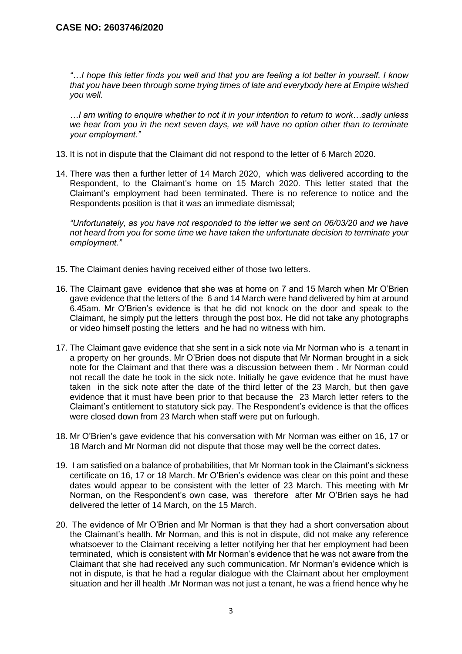*"…I hope this letter finds you well and that you are feeling a lot better in yourself. I know that you have been through some trying times of late and everybody here at Empire wished you well.*

*…I am writing to enquire whether to not it in your intention to return to work…sadly unless we hear from you in the next seven days, we will have no option other than to terminate your employment."*

- 13. It is not in dispute that the Claimant did not respond to the letter of 6 March 2020.
- 14. There was then a further letter of 14 March 2020, which was delivered according to the Respondent, to the Claimant's home on 15 March 2020. This letter stated that the Claimant's employment had been terminated. There is no reference to notice and the Respondents position is that it was an immediate dismissal;

*"Unfortunately, as you have not responded to the letter we sent on 06/03/20 and we have not heard from you for some time we have taken the unfortunate decision to terminate your employment."*

- 15. The Claimant denies having received either of those two letters.
- 16. The Claimant gave evidence that she was at home on 7 and 15 March when Mr O'Brien gave evidence that the letters of the 6 and 14 March were hand delivered by him at around 6.45am. Mr O'Brien's evidence is that he did not knock on the door and speak to the Claimant, he simply put the letters through the post box. He did not take any photographs or video himself posting the letters and he had no witness with him.
- 17. The Claimant gave evidence that she sent in a sick note via Mr Norman who is a tenant in a property on her grounds. Mr O'Brien does not dispute that Mr Norman brought in a sick note for the Claimant and that there was a discussion between them . Mr Norman could not recall the date he took in the sick note. Initially he gave evidence that he must have taken in the sick note after the date of the third letter of the 23 March, but then gave evidence that it must have been prior to that because the 23 March letter refers to the Claimant's entitlement to statutory sick pay. The Respondent's evidence is that the offices were closed down from 23 March when staff were put on furlough.
- 18. Mr O'Brien's gave evidence that his conversation with Mr Norman was either on 16, 17 or 18 March and Mr Norman did not dispute that those may well be the correct dates.
- 19. I am satisfied on a balance of probabilities, that Mr Norman took in the Claimant's sickness certificate on 16, 17 or 18 March. Mr O'Brien's evidence was clear on this point and these dates would appear to be consistent with the letter of 23 March. This meeting with Mr Norman, on the Respondent's own case, was therefore after Mr O'Brien says he had delivered the letter of 14 March, on the 15 March.
- 20. The evidence of Mr O'Brien and Mr Norman is that they had a short conversation about the Claimant's health. Mr Norman, and this is not in dispute, did not make any reference whatsoever to the Claimant receiving a letter notifying her that her employment had been terminated, which is consistent with Mr Norman's evidence that he was not aware from the Claimant that she had received any such communication. Mr Norman's evidence which is not in dispute, is that he had a regular dialogue with the Claimant about her employment situation and her ill health .Mr Norman was not just a tenant, he was a friend hence why he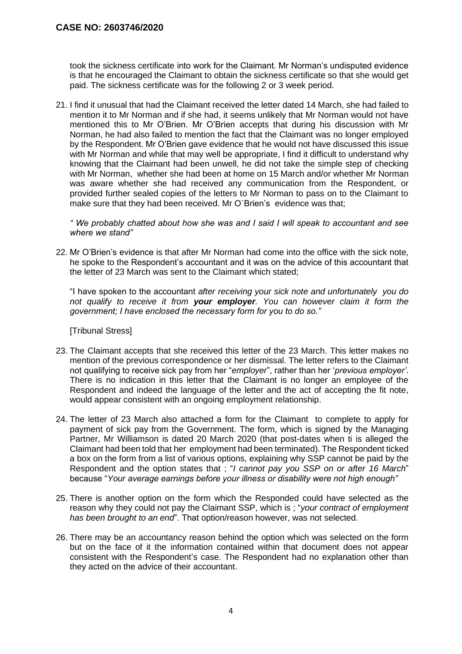took the sickness certificate into work for the Claimant. Mr Norman's undisputed evidence is that he encouraged the Claimant to obtain the sickness certificate so that she would get paid. The sickness certificate was for the following 2 or 3 week period.

21. I find it unusual that had the Claimant received the letter dated 14 March, she had failed to mention it to Mr Norman and if she had, it seems unlikely that Mr Norman would not have mentioned this to Mr O'Brien. Mr O'Brien accepts that during his discussion with Mr Norman, he had also failed to mention the fact that the Claimant was no longer employed by the Respondent. Mr O'Brien gave evidence that he would not have discussed this issue with Mr Norman and while that may well be appropriate, I find it difficult to understand why knowing that the Claimant had been unwell, he did not take the simple step of checking with Mr Norman, whether she had been at home on 15 March and/or whether Mr Norman was aware whether she had received any communication from the Respondent, or provided further sealed copies of the letters to Mr Norman to pass on to the Claimant to make sure that they had been received. Mr O`Brien's evidence was that;

*" We probably chatted about how she was and I said I will speak to accountant and see where we stand"*

22. Mr O'Brien's evidence is that after Mr Norman had come into the office with the sick note, he spoke to the Respondent's accountant and it was on the advice of this accountant that the letter of 23 March was sent to the Claimant which stated;

"I have spoken to the accountant *after receiving your sick note and unfortunately you do not qualify to receive it from your employer. You can however claim it form the government; I have enclosed the necessary form for you to do so."*

[Tribunal Stress]

- 23. The Claimant accepts that she received this letter of the 23 March. This letter makes no mention of the previous correspondence or her dismissal. The letter refers to the Claimant not qualifying to receive sick pay from her "*employer*", rather than her '*previous employer'*. There is no indication in this letter that the Claimant is no longer an employee of the Respondent and indeed the language of the letter and the act of accepting the fit note, would appear consistent with an ongoing employment relationship.
- 24. The letter of 23 March also attached a form for the Claimant to complete to apply for payment of sick pay from the Government. The form, which is signed by the Managing Partner, Mr Williamson is dated 20 March 2020 (that post-dates when ti is alleged the Claimant had been told that her employment had been terminated). The Respondent ticked a box on the form from a list of various options, explaining why SSP cannot be paid by the Respondent and the option states that ; "*I cannot pay you SSP on or after 16 March*" because "*Your average earnings before your illness or disability were not high enough"*
- 25. There is another option on the form which the Responded could have selected as the reason why they could not pay the Claimant SSP, which is ; "*your contract of employment has been brought to an end*". That option/reason however, was not selected.
- 26. There may be an accountancy reason behind the option which was selected on the form but on the face of it the information contained within that document does not appear consistent with the Respondent's case. The Respondent had no explanation other than they acted on the advice of their accountant.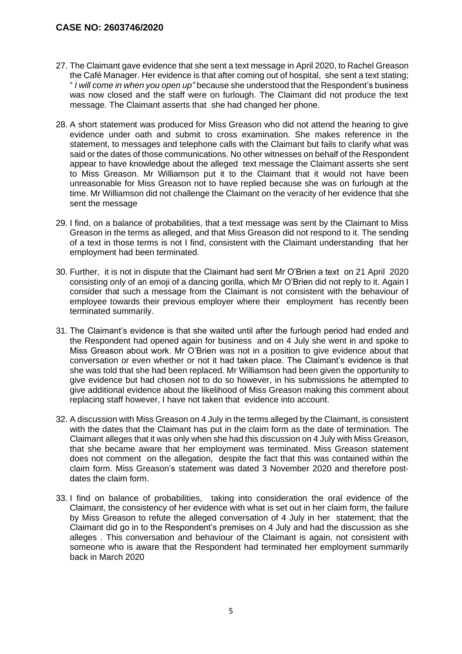- 27. The Claimant gave evidence that she sent a text message in April 2020, to Rachel Greason the Café Manager. Her evidence is that after coming out of hospital, she sent a text stating; " *I will come in when you open up"* because she understood that the Respondent's business was now closed and the staff were on furlough. The Claimant did not produce the text message. The Claimant asserts that she had changed her phone.
- 28. A short statement was produced for Miss Greason who did not attend the hearing to give evidence under oath and submit to cross examination. She makes reference in the statement, to messages and telephone calls with the Claimant but fails to clarify what was said or the dates of those communications. No other witnesses on behalf of the Respondent appear to have knowledge about the alleged text message the Claimant asserts she sent to Miss Greason. Mr Williamson put it to the Claimant that it would not have been unreasonable for Miss Greason not to have replied because she was on furlough at the time. Mr Williamson did not challenge the Claimant on the veracity of her evidence that she sent the message
- 29. I find, on a balance of probabilities, that a text message was sent by the Claimant to Miss Greason in the terms as alleged, and that Miss Greason did not respond to it. The sending of a text in those terms is not I find, consistent with the Claimant understanding that her employment had been terminated.
- 30. Further, it is not in dispute that the Claimant had sent Mr O'Brien a text on 21 April 2020 consisting only of an emoji of a dancing gorilla, which Mr O'Brien did not reply to it. Again I consider that such a message from the Claimant is not consistent with the behaviour of employee towards their previous employer where their employment has recently been terminated summarily.
- 31. The Claimant's evidence is that she waited until after the furlough period had ended and the Respondent had opened again for business and on 4 July she went in and spoke to Miss Greason about work. Mr O'Brien was not in a position to give evidence about that conversation or even whether or not it had taken place. The Claimant's evidence is that she was told that she had been replaced. Mr Williamson had been given the opportunity to give evidence but had chosen not to do so however, in his submissions he attempted to give additional evidence about the likelihood of Miss Greason making this comment about replacing staff however, I have not taken that evidence into account.
- 32. A discussion with Miss Greason on 4 July in the terms alleged by the Claimant, is consistent with the dates that the Claimant has put in the claim form as the date of termination. The Claimant alleges that it was only when she had this discussion on 4 July with Miss Greason, that she became aware that her employment was terminated. Miss Greason statement does not comment on the allegation, despite the fact that this was contained within the claim form. Miss Greason's statement was dated 3 November 2020 and therefore postdates the claim form.
- 33. I find on balance of probabilities, taking into consideration the oral evidence of the Claimant, the consistency of her evidence with what is set out in her claim form, the failure by Miss Greason to refute the alleged conversation of 4 July in her statement; that the Claimant did go in to the Respondent's premises on 4 July and had the discussion as she alleges . This conversation and behaviour of the Claimant is again, not consistent with someone who is aware that the Respondent had terminated her employment summarily back in March 2020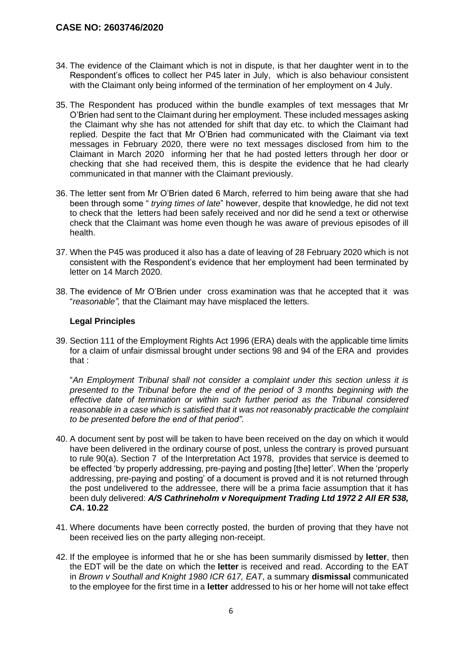- 34. The evidence of the Claimant which is not in dispute, is that her daughter went in to the Respondent's offices to collect her P45 later in July, which is also behaviour consistent with the Claimant only being informed of the termination of her employment on 4 July.
- 35. The Respondent has produced within the bundle examples of text messages that Mr O'Brien had sent to the Claimant during her employment. These included messages asking the Claimant why she has not attended for shift that day etc. to which the Claimant had replied. Despite the fact that Mr O'Brien had communicated with the Claimant via text messages in February 2020, there were no text messages disclosed from him to the Claimant in March 2020 informing her that he had posted letters through her door or checking that she had received them, this is despite the evidence that he had clearly communicated in that manner with the Claimant previously.
- 36. The letter sent from Mr O'Brien dated 6 March, referred to him being aware that she had been through some " *trying times of late*" however, despite that knowledge, he did not text to check that the letters had been safely received and nor did he send a text or otherwise check that the Claimant was home even though he was aware of previous episodes of ill health.
- 37. When the P45 was produced it also has a date of leaving of 28 February 2020 which is not consistent with the Respondent's evidence that her employment had been terminated by letter on 14 March 2020.
- 38. The evidence of Mr O'Brien under cross examination was that he accepted that it was "*reasonable",* that the Claimant may have misplaced the letters.

#### **Legal Principles**

39. Section 111 of the Employment Rights Act 1996 (ERA) deals with the applicable time limits for a claim of unfair dismissal brought under sections 98 and 94 of the ERA and provides that :

"*An Employment Tribunal shall not consider a complaint under this section unless it is presented to the Tribunal before the end of the period of 3 months beginning with the effective date of termination or within such further period as the Tribunal considered reasonable in a case which is satisfied that it was not reasonably practicable the complaint to be presented before the end of that period".*

- 40. A document sent by post will be taken to have been received on the day on which it would have been delivered in the ordinary course of post, unless the contrary is proved pursuant to rule [90\(a\).](https://uk.westlaw.com/Link/Document/FullText?findType=Y&serNum=0378259512&pubNum=121175&originatingDoc=IFBB9C2E055E011E79153C39CF1D5DBAB&refType=UL&originationContext=document&transitionType=CommentaryUKLink&ppcid=c21d2818941f4761a23be77fb5592caf&contextData=(sc.Search)) Section 7 of the [Interpretation](https://uk.westlaw.com/Link/Document/FullText?findType=Y&serNum=0111253338&pubNum=121177&originatingDoc=IFBB9C2E055E011E79153C39CF1D5DBAB&refType=UL&originationContext=document&transitionType=CommentaryUKLink&ppcid=c21d2818941f4761a23be77fb5592caf&contextData=(sc.Search)) Act 1978, provides that service is deemed to be effected 'by properly addressing, pre-paying and posting [the] letter'. When the 'properly addressing, pre-paying and posting' of a document is proved and it is not returned through the post undelivered to the addressee, there will be a prima facie assumption that it has been duly delivered: *A/S Cathrineholm v [Norequipment](https://uk.westlaw.com/Link/Document/FullText?findType=Y&serNum=1972022618&pubNum=3898&originatingDoc=IFBB9C2E055E011E79153C39CF1D5DBAB&refType=UC&originationContext=document&transitionType=CommentaryUKLink&ppcid=c21d2818941f4761a23be77fb5592caf&contextData=(sc.Search)) Trading Ltd 1972 2 All ER 538, [CA](https://uk.westlaw.com/Link/Document/FullText?findType=Y&serNum=1972022618&pubNum=3898&originatingDoc=IFBB9C2E055E011E79153C39CF1D5DBAB&refType=UC&originationContext=document&transitionType=CommentaryUKLink&ppcid=c21d2818941f4761a23be77fb5592caf&contextData=(sc.Search))***. 10.22**
- 41. Where documents have been correctly posted, the burden of proving that they have not been received lies on the party alleging non-receipt.
- 42. If the employee is informed that he or she has been summarily dismissed by **letter**, then the EDT will be the date on which the **letter** is received and read. According to the EAT in *Brown v [Southall](https://uk.westlaw.com/Link/Document/FullText?findType=Y&serNum=1980027366&pubNum=8105&originatingDoc=I0D58B79055E111E79153C39CF1D5DBAB&refType=UC&originationContext=document&transitionType=CommentaryUKLink&ppcid=72945fd3f9da4b1f987795953be76ceb&contextData=(sc.Search)) and Knight 1980 ICR 617, EAT*, a summary **dismissal** communicated to the employee for the first time in a **letter** addressed to his or her home will not take effect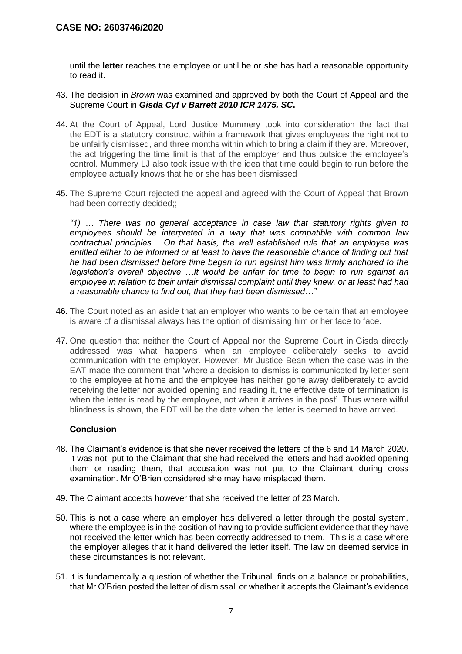until the **letter** reaches the employee or until he or she has had a reasonable opportunity to read it.

- 43. The decision in *[Brown](https://uk.westlaw.com/Link/Document/FullText?findType=Y&serNum=1980027366&pubNum=8105&originatingDoc=I0D58B79055E111E79153C39CF1D5DBAB&refType=UC&originationContext=document&transitionType=CommentaryUKLink&ppcid=72945fd3f9da4b1f987795953be76ceb&contextData=(sc.Search))* was examined and approved by both the Court of Appeal and the Supreme Court in *Gisda Cyf v [Barrett](https://uk.westlaw.com/Link/Document/FullText?findType=Y&serNum=2023301107&pubNum=7640&originatingDoc=I0D58B79055E111E79153C39CF1D5DBAB&refType=UC&originationContext=document&transitionType=CommentaryUKLink&ppcid=72945fd3f9da4b1f987795953be76ceb&contextData=(sc.Search)) 2010 ICR 1475, SC***.**
- 44. At the Court of Appeal, Lord Justice Mummery took into consideration the fact that the EDT is a statutory construct within a framework that gives employees the right not to be unfairly dismissed, and three months within which to bring a claim if they are. Moreover, the act triggering the time limit is that of the employer and thus outside the employee's control. Mummery LJ also took issue with the idea that time could begin to run before the employee actually knows that he or she has been dismissed
- 45. The Supreme Court rejected the appeal and agreed with the Court of Appeal that Brown had been correctly decided;;

*"1) … There was no general acceptance in case law that statutory rights given to employees should be interpreted in a way that was compatible with common law contractual principles …On that basis, the well established rule that an employee was entitled either to be informed or at least to have the reasonable chance of finding out that he had been dismissed before time began to run against him was firmly anchored to the legislation's overall objective …It would be unfair for time to begin to run against an employee in relation to their unfair dismissal complaint until they knew, or at least had had a reasonable chance to find out, that they had been dismissed…"*

- 46. The Court noted as an aside that an employer who wants to be certain that an employee is aware of a dismissal always has the option of dismissing him or her face to face.
- 47. One question that neither the Court of Appeal nor the Supreme Court in Gisda directly addressed was what happens when an employee deliberately seeks to avoid communication with the employer. However, Mr Justice Bean when the case was in the EAT made the comment that 'where a decision to dismiss is communicated by letter sent to the employee at home and the employee has neither gone away deliberately to avoid receiving the letter nor avoided opening and reading it, the effective date of termination is when the letter is read by the employee, not when it arrives in the post'. Thus where wilful blindness is shown, the EDT will be the date when the letter is deemed to have arrived.

#### **Conclusion**

- 48. The Claimant's evidence is that she never received the letters of the 6 and 14 March 2020. It was not put to the Claimant that she had received the letters and had avoided opening them or reading them, that accusation was not put to the Claimant during cross examination. Mr O'Brien considered she may have misplaced them.
- 49. The Claimant accepts however that she received the letter of 23 March.
- 50. This is not a case where an employer has delivered a letter through the postal system, where the employee is in the position of having to provide sufficient evidence that they have not received the letter which has been correctly addressed to them. This is a case where the employer alleges that it hand delivered the letter itself. The law on deemed service in these circumstances is not relevant.
- 51. It is fundamentally a question of whether the Tribunal finds on a balance or probabilities, that Mr O'Brien posted the letter of dismissal or whether it accepts the Claimant's evidence